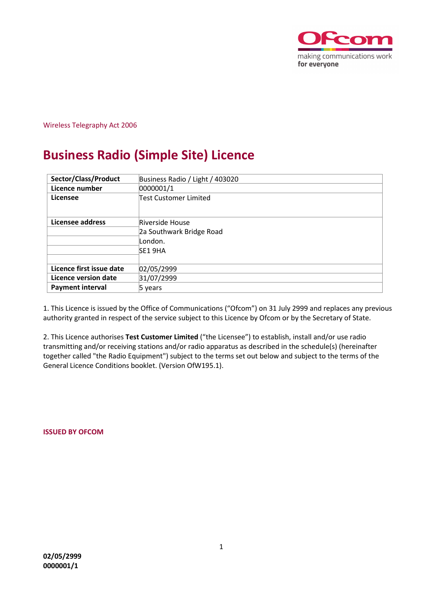

Wireless Telegraphy Act 2006

# **Business Radio (Simple Site) Licence**

| Sector/Class/Product     | Business Radio / Light / 403020 |
|--------------------------|---------------------------------|
| Licence number           | 0000001/1                       |
| Licensee                 | Test Customer Limited           |
|                          |                                 |
| Licensee address         | Riverside House                 |
|                          | 2a Southwark Bridge Road        |
|                          | London.                         |
|                          | SE1 9HA                         |
|                          |                                 |
| Licence first issue date | 02/05/2999                      |
| Licence version date     | 31/07/2999                      |
| <b>Payment interval</b>  | 5 vears                         |

1. This Licence is issued by the Office of Communications ("Ofcom") on 31 July 2999 and replaces any previous authority granted in respect of the service subject to this Licence by Ofcom or by the Secretary of State.

2. This Licence authorises **Test Customer Limited** ("the Licensee") to establish, install and/or use radio transmitting and/or receiving stations and/or radio apparatus as described in the schedule(s) (hereinafter together called "the Radio Equipment") subject to the terms set out below and subject to the terms of the General Licence Conditions booklet. (Version OfW195.1).

**ISSUED BY OFCOM**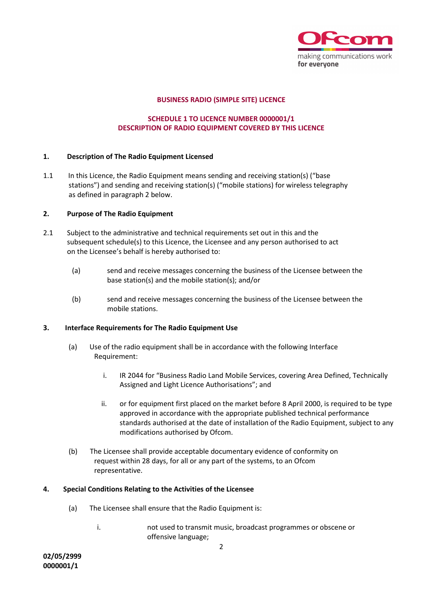

# **BUSINESS RADIO (SIMPLE SITE) LICENCE**

# **SCHEDULE 1 TO LICENCE NUMBER 0000001/1 DESCRIPTION OF RADIO EQUIPMENT COVERED BY THIS LICENCE**

# **1. Description of The Radio Equipment Licensed**

1.1 In this Licence, the Radio Equipment means sending and receiving station(s) ("base stations") and sending and receiving station(s) ("mobile stations) for wireless telegraphy as defined in paragraph 2 below.

# **2. Purpose of The Radio Equipment**

- 2.1 Subject to the administrative and technical requirements set out in this and the subsequent schedule(s) to this Licence, the Licensee and any person authorised to act on the Licensee's behalf is hereby authorised to:
	- (a) send and receive messages concerning the business of the Licensee between the base station(s) and the mobile station(s); and/or
	- (b) send and receive messages concerning the business of the Licensee between the mobile stations.

# **3. Interface Requirements for The Radio Equipment Use**

- (a) Use of the radio equipment shall be in accordance with the following Interface Requirement:
	- i. IR 2044 for "Business Radio Land Mobile Services, covering Area Defined, Technically Assigned and Light Licence Authorisations"; and
	- ii. or for equipment first placed on the market before 8 April 2000, is required to be type approved in accordance with the appropriate published technical performance standards authorised at the date of installation of the Radio Equipment, subject to any modifications authorised by Ofcom.
- (b) The Licensee shall provide acceptable documentary evidence of conformity on request within 28 days, for all or any part of the systems, to an Ofcom representative.

# **4. Special Conditions Relating to the Activities of the Licensee**

- (a) The Licensee shall ensure that the Radio Equipment is:
	- i. not used to transmit music, broadcast programmes or obscene or offensive language;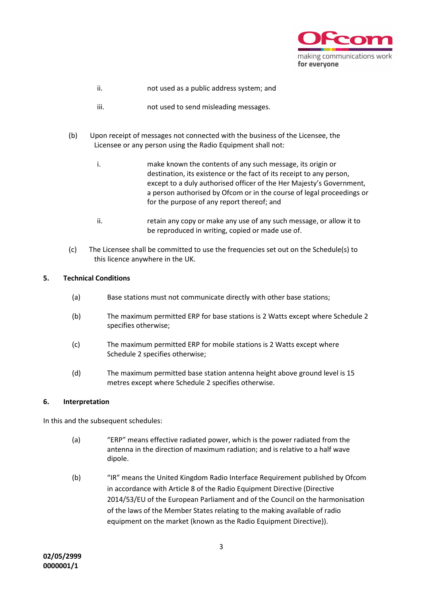

- ii. not used as a public address system; and
- iii. not used to send misleading messages.
- (b) Upon receipt of messages not connected with the business of the Licensee, the Licensee or any person using the Radio Equipment shall not:
	- i. make known the contents of any such message, its origin or destination, its existence or the fact of its receipt to any person, except to a duly authorised officer of the Her Majesty's Government, a person authorised by Ofcom or in the course of legal proceedings or for the purpose of any report thereof; and
	- ii. retain any copy or make any use of any such message, or allow it to be reproduced in writing, copied or made use of.
- (c) The Licensee shall be committed to use the frequencies set out on the Schedule(s) to this licence anywhere in the UK.

# **5. Technical Conditions**

- (a) Base stations must not communicate directly with other base stations;
- (b) The maximum permitted ERP for base stations is 2 Watts except where Schedule 2 specifies otherwise;
- (c) The maximum permitted ERP for mobile stations is 2 Watts except where Schedule 2 specifies otherwise;
- (d) The maximum permitted base station antenna height above ground level is 15 metres except where Schedule 2 specifies otherwise.

# **6. Interpretation**

In this and the subsequent schedules:

- (a) "ERP" means effective radiated power, which is the power radiated from the antenna in the direction of maximum radiation; and is relative to a half wave dipole.
- (b) "IR" means the United Kingdom Radio Interface Requirement published by Ofcom in accordance with Article 8 of the Radio Equipment Directive (Directive 2014/53/EU of the European Parliament and of the Council on the harmonisation of the laws of the Member States relating to the making available of radio equipment on the market (known as the Radio Equipment Directive)).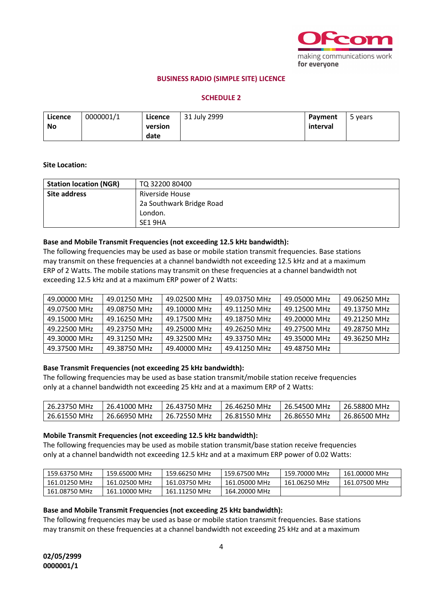

# **BUSINESS RADIO (SIMPLE SITE) LICENCE**

# **SCHEDULE 2**

| Licence | 0000001/1 | Licence | 31 July 2999 | Payment  | vears |
|---------|-----------|---------|--------------|----------|-------|
| No      |           | version |              | interval |       |
|         |           | date    |              |          |       |

#### **Site Location:**

| <b>Station location (NGR)</b> | TO 32200 80400           |
|-------------------------------|--------------------------|
| Site address                  | Riverside House          |
|                               | 2a Southwark Bridge Road |
|                               | London.                  |
|                               | SE1 9HA                  |

#### **Base and Mobile Transmit Frequencies (not exceeding 12.5 kHz bandwidth):**

The following frequencies may be used as base or mobile station transmit frequencies. Base stations may transmit on these frequencies at a channel bandwidth not exceeding 12.5 kHz and at a maximum ERP of 2 Watts. The mobile stations may transmit on these frequencies at a channel bandwidth not exceeding 12.5 kHz and at a maximum ERP power of 2 Watts:

| 49.00000 MHz | 49.01250 MHz | 49.02500 MHz | 49.03750 MHz | 49.05000 MHz | 49.06250 MHz |
|--------------|--------------|--------------|--------------|--------------|--------------|
| 49.07500 MHz | 49.08750 MHz | 49.10000 MHz | 49.11250 MHz | 49.12500 MHz | 49.13750 MHz |
| 49.15000 MHz | 49.16250 MHz | 49.17500 MHz | 49.18750 MHz | 49.20000 MHz | 49.21250 MHz |
| 49.22500 MHz | 49.23750 MHz | 49.25000 MHz | 49.26250 MHz | 49.27500 MHz | 49.28750 MHz |
| 49.30000 MHz | 49.31250 MHz | 49.32500 MHz | 49.33750 MHz | 49.35000 MHz | 49.36250 MHz |
| 49.37500 MHz | 49.38750 MHz | 49.40000 MHz | 49.41250 MHz | 49.48750 MHz |              |

# **Base Transmit Frequencies (not exceeding 25 kHz bandwidth):**

The following frequencies may be used as base station transmit/mobile station receive frequencies only at a channel bandwidth not exceeding 25 kHz and at a maximum ERP of 2 Watts:

| 26.23750 MHz | 26.41000 MHz | 26.43750 MHz | 26.46250 MHz             | 26.54500 MHz | 26.58800 MHz |
|--------------|--------------|--------------|--------------------------|--------------|--------------|
| 26.61550 MHz | 26.66950 MHz | 26.72550 MHz | $\frac{1}{26.81550}$ MHz | 26.86550 MHz | 26.86500 MHz |

# **Mobile Transmit Frequencies (not exceeding 12.5 kHz bandwidth):**

The following frequencies may be used as mobile station transmit/base station receive frequencies only at a channel bandwidth not exceeding 12.5 kHz and at a maximum ERP power of 0.02 Watts:

| 159.63750 MHz | 159.65000 MHz | 159.66250 MHz | 159.67500 MHz | 159.70000 MHz | 161.00000 MHz |
|---------------|---------------|---------------|---------------|---------------|---------------|
| 161.01250 MHz | 161.02500 MHz | 161.03750 MHz | 161.05000 MHz | 161.06250 MHz | 161.07500 MHz |
| 161.08750 MHz | 161.10000 MHz | 161.11250 MHz | 164.20000 MHz |               |               |

# **Base and Mobile Transmit Frequencies (not exceeding 25 kHz bandwidth):**

The following frequencies may be used as base or mobile station transmit frequencies. Base stations may transmit on these frequencies at a channel bandwidth not exceeding 25 kHz and at a maximum